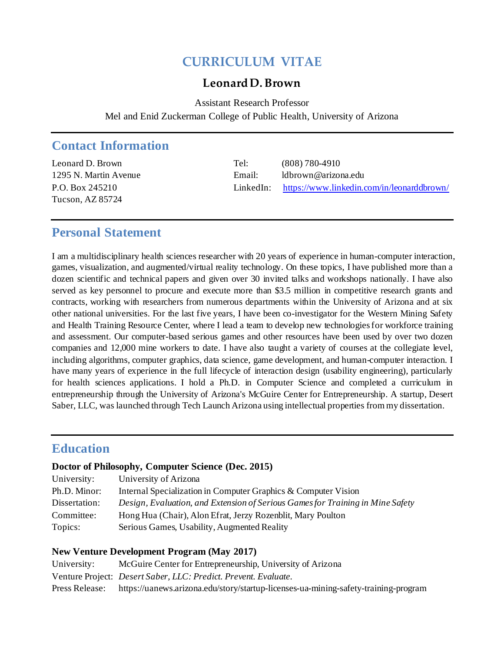# **CURRICULUM VITAE**

### **Leonard D. Brown**

Assistant Research Professor Mel and Enid Zuckerman College of Public Health, University of Arizona

## **Contact Information**

Tucson, AZ 85724

Leonard D. Brown Tel: (808) 780-4910 1295 N. Martin Avenue Email: ldbrown@arizona.edu P.O. Box 245210 LinkedIn: <https://www.linkedin.com/in/leonarddbrown/>

## **Personal Statement**

I am a multidisciplinary health sciences researcher with 20 years of experience in human-computer interaction, games, visualization, and augmented/virtual reality technology. On these topics, I have published more than a dozen scientific and technical papers and given over 30 invited talks and workshops nationally. I have also served as key personnel to procure and execute more than \$3.5 million in competitive research grants and contracts, working with researchers from numerous departments within the University of Arizona and at six other national universities. For the last five years, I have been co-investigator for the Western Mining Safety and Health Training Resource Center, where I lead a team to develop new technologies for workforce training and assessment. Our computer-based serious games and other resources have been used by over two dozen companies and 12,000 mine workers to date. I have also taught a variety of courses at the collegiate level, including algorithms, computer graphics, data science, game development, and human-computer interaction. I have many years of experience in the full lifecycle of interaction design (usability engineering), particularly for health sciences applications. I hold a Ph.D. in Computer Science and completed a curriculum in entrepreneurship through the University of Arizona's McGuire Center for Entrepreneurship. A startup, Desert Saber, LLC, was launched through Tech Launch Arizona using intellectual properties from my dissertation.

## **Education**

#### **Doctor of Philosophy, Computer Science (Dec. 2015)**

| University:   | University of Arizona                                                          |
|---------------|--------------------------------------------------------------------------------|
| Ph.D. Minor:  | Internal Specialization in Computer Graphics & Computer Vision                 |
| Dissertation: | Design, Evaluation, and Extension of Serious Games for Training in Mine Safety |
| Committee:    | Hong Hua (Chair), Alon Efrat, Jerzy Rozenblit, Mary Poulton                    |
| Topics:       | Serious Games, Usability, Augmented Reality                                    |

#### **New Venture Development Program (May 2017)**

| University:    | McGuire Center for Entrepreneurship, University of Arizona                          |
|----------------|-------------------------------------------------------------------------------------|
|                | Venture Project: <i>Desert Saber, LLC: Predict. Prevent. Evaluate.</i>              |
| Press Release: | https://uanews.arizona.edu/story/startup-licenses-ua-mining-safety-training-program |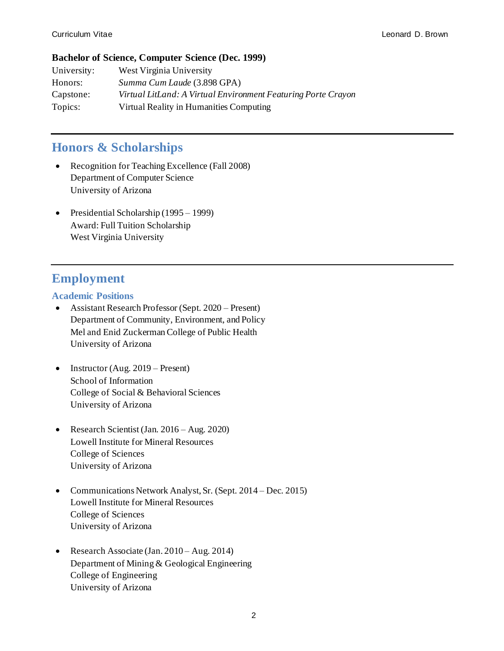#### **Bachelor of Science, Computer Science (Dec. 1999)**

| University: | West Virginia University                                      |
|-------------|---------------------------------------------------------------|
| Honors:     | Summa Cum Laude (3.898 GPA)                                   |
| Capstone:   | Virtual LitLand: A Virtual Environment Featuring Porte Crayon |
| Topics:     | Virtual Reality in Humanities Computing                       |

## **Honors & Scholarships**

- Recognition for Teaching Excellence (Fall 2008) Department of Computer Science University of Arizona
- Presidential Scholarship (1995 1999) Award: Full Tuition Scholarship West Virginia University

# **Employment**

### **Academic Positions**

- Assistant Research Professor (Sept. 2020 Present) Department of Community, Environment, and Policy Mel and Enid Zuckerman College of Public Health University of Arizona
- Instructor (Aug. 2019 Present) School of Information College of Social & Behavioral Sciences University of Arizona
- Research Scientist (Jan. 2016 Aug. 2020) Lowell Institute for Mineral Resources College of Sciences University of Arizona
- Communications Network Analyst, Sr. (Sept. 2014 Dec. 2015) Lowell Institute for Mineral Resources College of Sciences University of Arizona
- Research Associate (Jan. 2010 Aug. 2014) Department of Mining & Geological Engineering College of Engineering University of Arizona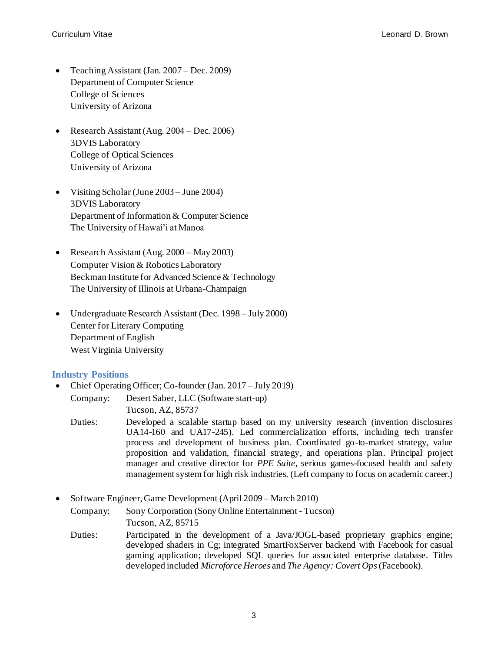- Teaching Assistant (Jan. 2007 Dec. 2009) Department of Computer Science College of Sciences University of Arizona
- Research Assistant (Aug. 2004 Dec. 2006) 3DVIS Laboratory College of Optical Sciences University of Arizona
- Visiting Scholar (June 2003 June 2004) 3DVIS Laboratory Department of Information & Computer Science The University of Hawai'i at Manoa
- Research Assistant (Aug. 2000 May 2003) Computer Vision & Robotics Laboratory Beckman Institute for Advanced Science & Technology The University of Illinois at Urbana-Champaign
- Undergraduate Research Assistant (Dec. 1998 July 2000) Center for Literary Computing Department of English West Virginia University

#### **Industry Positions**

• Chief Operating Officer; Co-founder (Jan. 2017 – July 2019) Company: Desert Saber, LLC (Software start-up)

Tucson, AZ, 85737

- Duties: Developed a scalable startup based on my university research (invention disclosures UA14-160 and UA17-245). Led commercialization efforts, including tech transfer process and development of business plan. Coordinated go-to-market strategy, value proposition and validation, financial strategy, and operations plan. Principal project manager and creative director for *PPE Suite*, serious games-focused health and safety management system for high risk industries. (Left company to focus on academic career.)
- Software Engineer, Game Development (April 2009 March 2010)

Company: Sony Corporation (Sony Online Entertainment - Tucson) Tucson, AZ, 85715

Duties: Participated in the development of a Java/JOGL-based proprietary graphics engine; developed shaders in Cg; integrated SmartFoxServer backend with Facebook for casual gaming application; developed SQL queries for associated enterprise database. Titles developed included *Microforce Heroes* and *The Agency: Covert Ops* (Facebook).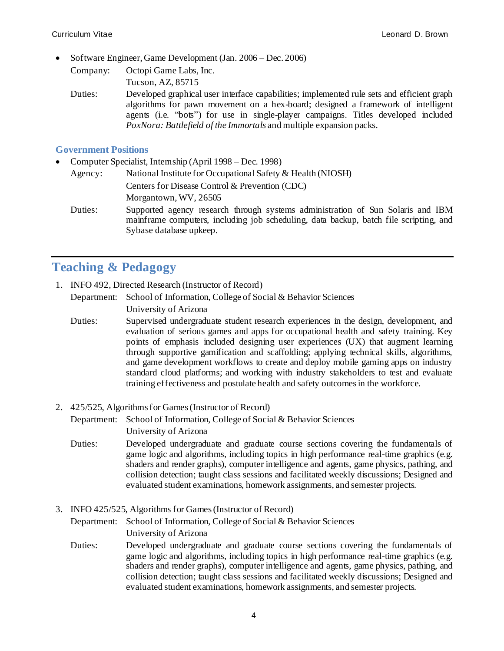• Software Engineer, Game Development (Jan. 2006 – Dec. 2006)

Company: Octopi Game Labs, Inc. Tucson, AZ, 85715

Duties: Developed graphical user interface capabilities; implemented rule sets and efficient graph algorithms for pawn movement on a hex-board; designed a framework of intelligent agents (i.e. "bots") for use in single-player campaigns. Titles developed included *PoxNora: Battlefield of the Immortals* and multiple expansion packs.

#### **Government Positions**

• Computer Specialist, Internship (April 1998 – Dec. 1998)

```
Agency: National Institute for Occupational Safety & Health (NIOSH)
 Centers for Disease Control & Prevention (CDC)
 Morgantown, WV, 26505
```
Duties: Supported agency research through systems administration of Sun Solaris and IBM mainframe computers, including job scheduling, data backup, batch file scripting, and Sybase database upkeep.

# **Teaching & Pedagogy**

1. INFO 492, Directed Research (Instructor of Record)

Department: School of Information, College of Social & Behavior Sciences

University of Arizona

- Duties: Supervised undergraduate student research experiences in the design, development, and evaluation of serious games and apps for occupational health and safety training. Key points of emphasis included designing user experiences (UX) that augment learning through supportive gamification and scaffolding; applying technical skills, algorithms, and game development workflows to create and deploy mobile gaming apps on industry standard cloud platforms; and working with industry stakeholders to test and evaluate training effectiveness and postulate health and safety outcomes in the workforce.
- 2. 425/525, Algorithms for Games(Instructor of Record)

Department: School of Information, College of Social & Behavior Sciences University of Arizona

- Duties: Developed undergraduate and graduate course sections covering the fundamentals of game logic and algorithms, including topics in high performance real-time graphics (e.g. shaders and render graphs), computer intelligence and agents, game physics, pathing, and collision detection; taught class sessions and facilitated weekly discussions; Designed and evaluated student examinations, homework assignments, and semester projects.
- 3. INFO 425/525, Algorithms for Games(Instructor of Record)

Department: School of Information, College of Social & Behavior Sciences University of Arizona

Duties: Developed undergraduate and graduate course sections covering the fundamentals of game logic and algorithms, including topics in high performance real-time graphics (e.g. shaders and render graphs), computer intelligence and agents, game physics, pathing, and collision detection; taught class sessions and facilitated weekly discussions; Designed and evaluated student examinations, homework assignments, and semester projects.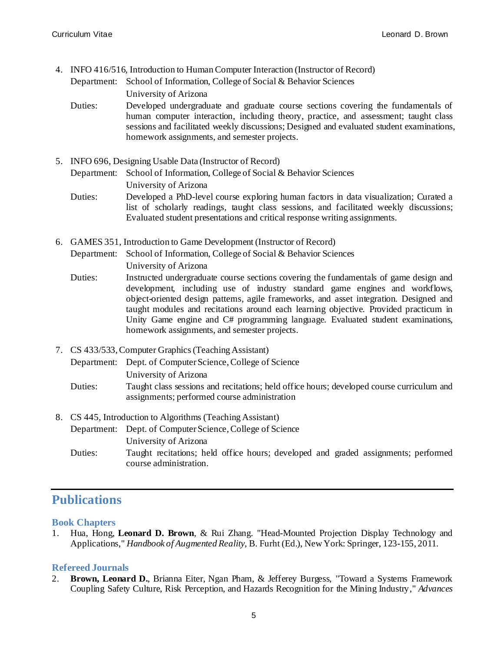4. INFO 416/516, Introduction to Human Computer Interaction (Instructor of Record)

Department: School of Information, College of Social & Behavior Sciences

University of Arizona

- Duties: Developed undergraduate and graduate course sections covering the fundamentals of human computer interaction, including theory, practice, and assessment; taught class sessions and facilitated weekly discussions; Designed and evaluated student examinations, homework assignments, and semester projects.
- 5. INFO 696, Designing Usable Data (Instructor of Record)

Department: School of Information, College of Social & Behavior Sciences University of Arizona

- Duties: Developed a PhD-level course exploring human factors in data visualization; Curated a list of scholarly readings, taught class sessions, and facilitated weekly discussions; Evaluated student presentations and critical response writing assignments.
- 6. GAMES 351, Introduction to Game Development (Instructor of Record) Department: School of Information, College of Social & Behavior Sciences University of Arizona
	- Duties: Instructed undergraduate course sections covering the fundamentals of game design and development, including use of industry standard game engines and workflows, object-oriented design patterns, agile frameworks, and asset integration. Designed and taught modules and recitations around each learning objective. Provided practicum in Unity Game engine and C# programming language. Evaluated student examinations, homework assignments, and semester projects.
- 7. CS 433/533, Computer Graphics(Teaching Assistant)

Department: Dept. of Computer Science, College of Science University of Arizona

- Duties: Taught class sessions and recitations; held office hours; developed course curriculum and assignments; performed course administration
- 8. CS 445, Introduction to Algorithms (Teaching Assistant) Department: Dept. of Computer Science, College of Science University of Arizona Duties: Taught recitations; held office hours; developed and graded assignments; performed course administration.

# **Publications**

### **Book Chapters**

1. Hua, Hong, **Leonard D. Brown**, & Rui Zhang. "Head-Mounted Projection Display Technology and Applications," *Handbook of Augmented Reality*, B. Furht (Ed.), New York: Springer, 123-155, 2011.

### **Refereed Journals**

2. **Brown, Leonard D.**, Brianna Eiter, Ngan Pham, & Jefferey Burgess, "Toward a Systems Framework Coupling Safety Culture, Risk Perception, and Hazards Recognition for the Mining Industry," *Advances*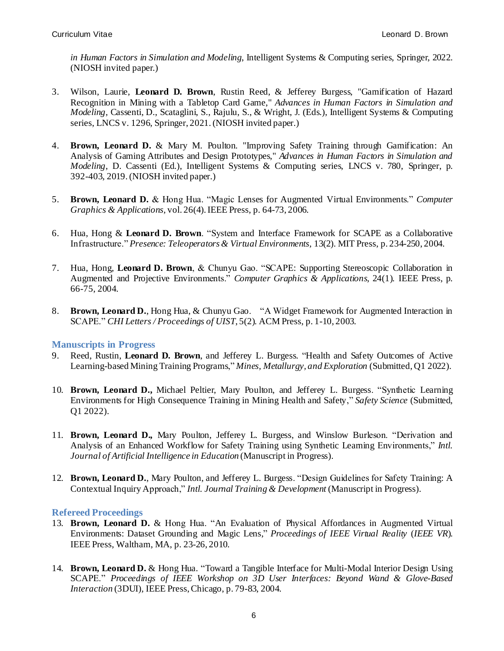*in Human Factors in Simulation and Modeling*, Intelligent Systems & Computing series, Springer, 2022. (NIOSH invited paper.)

- 3. Wilson, Laurie, **Leonard D. Brown**, Rustin Reed, & Jefferey Burgess, "Gamification of Hazard Recognition in Mining with a Tabletop Card Game," *Advances in Human Factors in Simulation and Modeling*, Cassenti, D., Scataglini, S., Rajulu, S., & Wright, J. (Eds.), Intelligent Systems & Computing series, LNCS v. 1296, Springer, 2021.(NIOSH invited paper.)
- 4. **Brown, Leonard D.** & Mary M. Poulton. "Improving Safety Training through Gamification: An Analysis of Gaming Attributes and Design Prototypes," *Advances in Human Factors in Simulation and Modeling*, D. Cassenti (Ed.), Intelligent Systems & Computing series, LNCS v. 780, Springer, p. 392-403, 2019.(NIOSH invited paper.)
- 5. **Brown, Leonard D.** & Hong Hua. "Magic Lenses for Augmented Virtual Environments." *Computer Graphics & Applications,* vol. 26(4). IEEE Press, p. 64-73, 2006.
- 6. Hua, Hong & **Leonard D. Brown**. "System and Interface Framework for SCAPE as a Collaborative Infrastructure." *Presence: Teleoperators & Virtual Environments,* 13(2). MIT Press, p. 234-250, 2004.
- 7. Hua, Hong, **Leonard D. Brown**, & Chunyu Gao. "SCAPE: Supporting Stereoscopic Collaboration in Augmented and Projective Environments." *Computer Graphics & Applications*, 24(1). IEEE Press, p. 66-75, 2004.
- 8. **Brown, Leonard D.**, Hong Hua, & Chunyu Gao. "A Widget Framework for Augmented Interaction in SCAPE." *CHI Letters / Proceedings of UIST*, 5(2). ACM Press, p. 1-10, 2003.

#### **Manuscripts in Progress**

- 9. Reed, Rustin, **Leonard D. Brown**, and Jefferey L. Burgess. "Health and Safety Outcomes of Active Learning-based Mining Training Programs," *Mines, Metallurgy, and Exploration* (Submitted, Q1 2022).
- 10. **Brown, Leonard D.,** Michael Peltier, Mary Poulton, and Jefferey L. Burgess. "Synthetic Learning Environments for High Consequence Training in Mining Health and Safety," *Safety Science* (Submitted, Q1 2022).
- 11. **Brown, Leonard D.,** Mary Poulton, Jefferey L. Burgess, and Winslow Burleson. "Derivation and Analysis of an Enhanced Workflow for Safety Training using Synthetic Learning Environments," *Intl. Journal of Artificial Intelligence in Education* (Manuscript in Progress).
- 12. **Brown, Leonard D.**, Mary Poulton, and Jefferey L. Burgess. "Design Guidelines for Safety Training: A Contextual Inquiry Approach," *Intl. Journal Training & Development* (Manuscript in Progress).

#### **Refereed Proceedings**

- 13. **Brown, Leonard D.** & Hong Hua. "An Evaluation of Physical Affordances in Augmented Virtual Environments: Dataset Grounding and Magic Lens," *Proceedings of IEEE Virtual Reality* (*IEEE VR*). IEEE Press, Waltham, MA, p. 23-26, 2010.
- 14. **Brown, Leonard D.** & Hong Hua. "Toward a Tangible Interface for Multi-Modal Interior Design Using SCAPE." *Proceedings of IEEE Workshop on 3D User Interfaces: Beyond Wand & Glove-Based Interaction* (3DUI)*,* IEEE Press, Chicago, p. 79-83, 2004.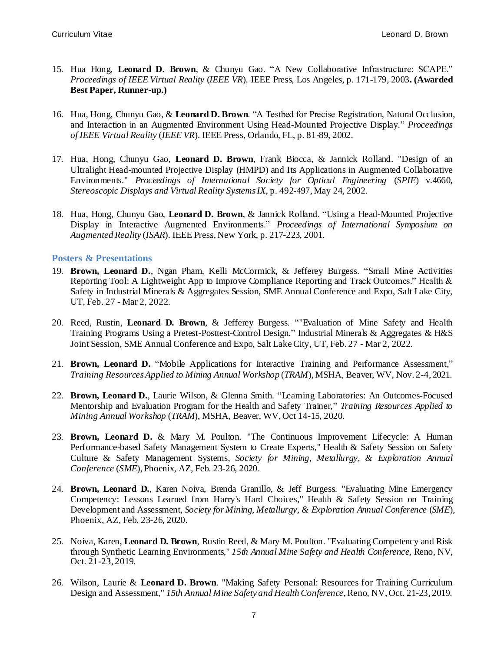- 15. Hua Hong, **Leonard D. Brown**, & Chunyu Gao. "A New Collaborative Infrastructure: SCAPE." *Proceedings of IEEE Virtual Reality* (*IEEE VR*)*.* IEEE Press, Los Angeles, p. 171-179, 2003**. (Awarded Best Paper, Runner-up.)**
- 16. Hua, Hong, Chunyu Gao, & **Leonard D. Brown**. "A Testbed for Precise Registration, Natural Occlusion, and Interaction in an Augmented Environment Using Head-Mounted Projective Display." *Proceedings of IEEE Virtual Reality* (*IEEE VR*). IEEE Press, Orlando, FL, p. 81-89, 2002.
- 17. Hua, Hong, Chunyu Gao, **Leonard D. Brown**, Frank Biocca, & Jannick Rolland. "Design of an Ultralight Head-mounted Projective Display (HMPD) and Its Applications in Augmented Collaborative Environments." *Proceedings of International Society for Optical Engineering* (*SPIE*) v.4660, *Stereoscopic Displays and Virtual Reality Systems IX*, p. 492-497, May 24, 2002.
- 18. Hua, Hong, Chunyu Gao, **Leonard D. Brown**, & Jannick Rolland. "Using a Head-Mounted Projective Display in Interactive Augmented Environments." *Proceedings of International Symposium on Augmented Reality* (*ISAR*). IEEE Press, New York, p. 217-223, 2001.

#### **Posters & Presentations**

- 19. **Brown, Leonard D.**, Ngan Pham, Kelli McCormick, & Jefferey Burgess. "Small Mine Activities Reporting Tool: A Lightweight App to Improve Compliance Reporting and Track Outcomes." Health & Safety in Industrial Minerals & Aggregates Session, SME Annual Conference and Expo, Salt Lake City, UT, Feb. 27 - Mar 2, 2022.
- 20. Reed, Rustin, **Leonard D. Brown**, & Jefferey Burgess. ""Evaluation of Mine Safety and Health Training Programs Using a Pretest-Posttest-Control Design." Industrial Minerals & Aggregates & H&S Joint Session, SME Annual Conference and Expo, Salt Lake City, UT, Feb. 27 - Mar 2, 2022.
- 21. **Brown, Leonard D.** "Mobile Applications for Interactive Training and Performance Assessment," *Training Resources Applied to Mining Annual Workshop* (*TRAM*), MSHA, Beaver, WV, Nov. 2-4, 2021.
- 22. **Brown, Leonard D.**, Laurie Wilson, & Glenna Smith. "Learning Laboratories: An Outcomes-Focused Mentorship and Evaluation Program for the Health and Safety Trainer," *Training Resources Applied to Mining Annual Workshop* (*TRAM*), MSHA, Beaver, WV, Oct 14-15, 2020.
- 23. **Brown, Leonard D.** & Mary M. Poulton. "The Continuous Improvement Lifecycle: A Human Performance-based Safety Management System to Create Experts," Health & Safety Session on Safety Culture & Safety Management Systems, *Society for Mining, Metallurgy, & Exploration Annual Conference* (*SME*), Phoenix, AZ, Feb. 23-26, 2020.
- 24. **Brown, Leonard D.**, Karen Noiva, Brenda Granillo, & Jeff Burgess. "Evaluating Mine Emergency Competency: Lessons Learned from Harry's Hard Choices," Health & Safety Session on Training Development and Assessment, *Society for Mining, Metallurgy, & Exploration Annual Conference* (*SME*), Phoenix, AZ, Feb. 23-26, 2020.
- 25. Noiva, Karen, **Leonard D. Brown**, Rustin Reed, & Mary M. Poulton. "Evaluating Competency and Risk through Synthetic Learning Environments," *15th Annual Mine Safety and Health Conference*, Reno, NV, Oct. 21-23, 2019.
- 26. Wilson, Laurie & **Leonard D. Brown**. "Making Safety Personal: Resources for Training Curriculum Design and Assessment," *15th Annual Mine Safety and Health Conference*, Reno, NV, Oct. 21-23, 2019.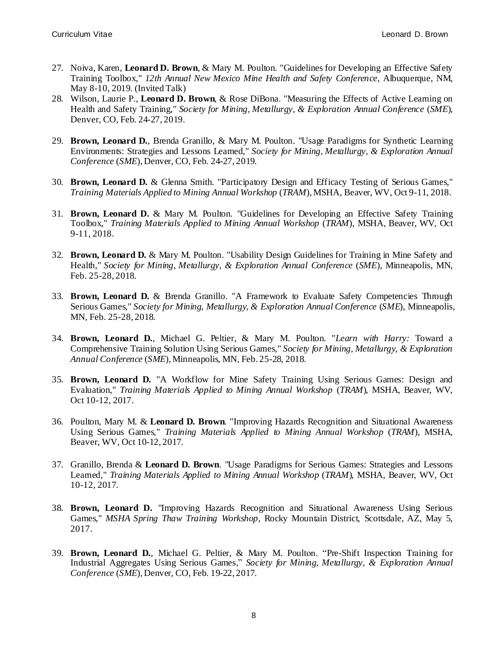- 27. Noiva, Karen, **Leonard D. Brown**, & Mary M. Poulton. "Guidelines for Developing an Effective Safety Training Toolbox," *12th Annual New Mexico Mine Health and Safety Conference*, Albuquerque, NM, May 8-10, 2019. (Invited Talk)
- 28. Wilson, Laurie P., **Leonard D. Brown**, & Rose DiBona. "Measuring the Effects of Active Learning on Health and Safety Training," *Society for Mining, Metallurgy, & Exploration Annual Conference* (*SME*), Denver, CO, Feb. 24-27, 2019.
- 29. **Brown, Leonard D.**, Brenda Granillo, & Mary M. Poulton. "Usage Paradigms for Synthetic Learning Environments: Strategies and Lessons Learned," *Society for Mining, Metallurgy, & Exploration Annual Conference* (*SME*), Denver, CO, Feb. 24-27, 2019.
- 30. **Brown, Leonard D.** & Glenna Smith. "Participatory Design and Efficacy Testing of Serious Games," *Training Materials Applied to Mining Annual Workshop* (*TRAM*), MSHA, Beaver, WV, Oct 9-11, 2018.
- 31. **Brown, Leonard D.** & Mary M. Poulton. "Guidelines for Developing an Effective Safety Training Toolbox," *Training Materials Applied to Mining Annual Workshop* (*TRAM*), MSHA, Beaver, WV, Oct 9-11, 2018.
- 32. **Brown, Leonard D.** & Mary M. Poulton. "Usability Design Guidelines for Training in Mine Safety and Health," *Society for Mining, Metallurgy, & Exploration Annual Conference* (*SME*), Minneapolis, MN, Feb. 25-28, 2018.
- 33. **Brown, Leonard D.** & Brenda Granillo. "A Framework to Evaluate Safety Competencies Through Serious Games," *Society for Mining, Metallurgy, & Exploration Annual Conference* (*SME*), Minneapolis, MN, Feb. 25-28, 2018.
- 34. **Brown, Leonard D.**, Michael G. Peltier, & Mary M. Poulton. "*Learn with Harry:* Toward a Comprehensive Training Solution Using Serious Games," *Society for Mining, Metallurgy, & Exploration Annual Conference* (*SME*), Minneapolis, MN, Feb. 25-28, 2018.
- 35. **Brown, Leonard D.** "A Workflow for Mine Safety Training Using Serious Games: Design and Evaluation," *Training Materials Applied to Mining Annual Workshop* (*TRAM*), MSHA, Beaver, WV, Oct 10-12, 2017.
- 36. Poulton, Mary M. & **Leonard D. Brown**. "Improving Hazards Recognition and Situational Awareness Using Serious Games," *Training Materials Applied to Mining Annual Workshop* (*TRAM*), MSHA, Beaver, WV, Oct 10-12, 2017.
- 37. Granillo, Brenda & **Leonard D. Brown**. "Usage Paradigms for Serious Games: Strategies and Lessons Learned," *Training Materials Applied to Mining Annual Workshop* (*TRAM*), MSHA, Beaver, WV, Oct 10-12, 2017.
- 38. **Brown, Leonard D.** "Improving Hazards Recognition and Situational Awareness Using Serious Games," *MSHA Spring Thaw Training Workshop*, Rocky Mountain District, Scottsdale, AZ, May 5, 2017.
- 39. **Brown, Leonard D.**, Michael G. Peltier, & Mary M. Poulton. "Pre-Shift Inspection Training for Industrial Aggregates Using Serious Games," *Society for Mining, Metallurgy, & Exploration Annual Conference* (*SME*), Denver, CO, Feb. 19-22, 2017.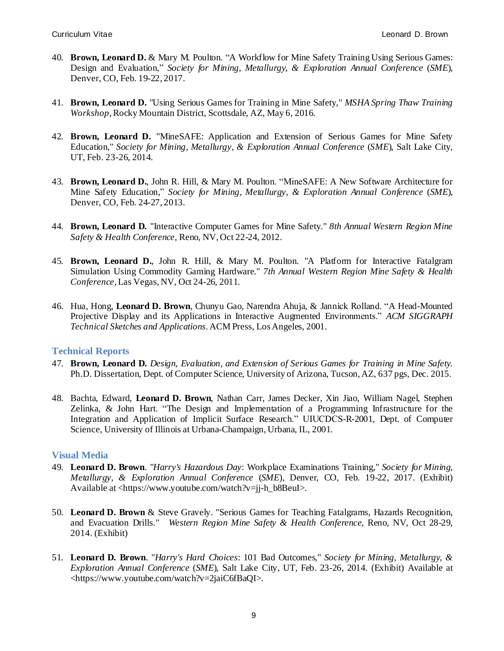- 40. **Brown, Leonard D.** & Mary M. Poulton. "A Workflow for Mine Safety Training Using Serious Games: Design and Evaluation," *Society for Mining, Metallurgy, & Exploration Annual Conference* (*SME*), Denver, CO, Feb. 19-22, 2017.
- 41. **Brown, Leonard D.** "Using Serious Games for Training in Mine Safety," *MSHA Spring Thaw Training Workshop*, Rocky Mountain District, Scottsdale, AZ, May 6, 2016.
- 42. **Brown, Leonard D.** "MineSAFE: Application and Extension of Serious Games for Mine Safety Education," *Society for Mining, Metallurgy, & Exploration Annual Conference* (*SME*), Salt Lake City, UT, Feb. 23-26, 2014.
- 43. **Brown, Leonard D.**, John R. Hill, & Mary M. Poulton. "MineSAFE: A New Software Architecture for Mine Safety Education," *Society for Mining, Metallurgy, & Exploration Annual Conference* (*SME*), Denver, CO, Feb. 24-27, 2013.
- 44. **Brown, Leonard D.** "Interactive Computer Games for Mine Safety." *8th Annual Western Region Mine Safety & Health Conference*, Reno, NV, Oct 22-24, 2012.
- 45. **Brown, Leonard D.**, John R. Hill, & Mary M. Poulton. "A Platform for Interactive Fatalgram Simulation Using Commodity Gaming Hardware." *7th Annual Western Region Mine Safety & Health Conference*, Las Vegas, NV, Oct 24-26, 2011.
- 46. Hua, Hong, **Leonard D. Brown**, Chunyu Gao, Narendra Ahuja, & Jannick Rolland. "A Head-Mounted Projective Display and its Applications in Interactive Augmented Environments." *ACM SIGGRAPH Technical Sketches and Applications*. ACM Press, Los Angeles, 2001.

#### **Technical Reports**

- 47. **Brown, Leonard D.** *Design, Evaluation, and Extension of Serious Games for Training in Mine Safety.* Ph.D. Dissertation, Dept. of Computer Science, University of Arizona, Tucson, AZ, 637 pgs, Dec. 2015.
- 48. Bachta, Edward, **Leonard D. Brown**, Nathan Carr, James Decker, Xin Jiao, William Nagel, Stephen Zelinka, & John Hart. "The Design and Implementation of a Programming Infrastructure for the Integration and Application of Implicit Surface Research." UIUCDCS-R-2001, Dept. of Computer Science, University of Illinois at Urbana-Champaign, Urbana, IL, 2001.

#### **Visual Media**

- 49. **Leonard D. Brown**. "*Harry's Hazardous Day*: Workplace Examinations Training," *Society for Mining, Metallurgy, & Exploration Annual Conference* (*SME*), Denver, CO, Feb. 19-22, 2017. (Exhibit) Available at <https://www.youtube.com/watch?v=jj-h\_b8BeuI>.
- 50. **Leonard D. Brown** & Steve Gravely. "Serious Games for Teaching Fatalgrams, Hazards Recognition, and Evacuation Drills." *Western Region Mine Safety & Health Conference*, Reno, NV, Oct 28-29, 2014. (Exhibit)
- 51. **Leonard D. Brown**. "*Harry's Hard Choices*: 101 Bad Outcomes," *Society for Mining, Metallurgy, & Exploration Annual Conference* (*SME*), Salt Lake City, UT, Feb. 23-26, 2014. (Exhibit) Available at <https://www.youtube.com/watch?v=2jaiC6fBaQI>.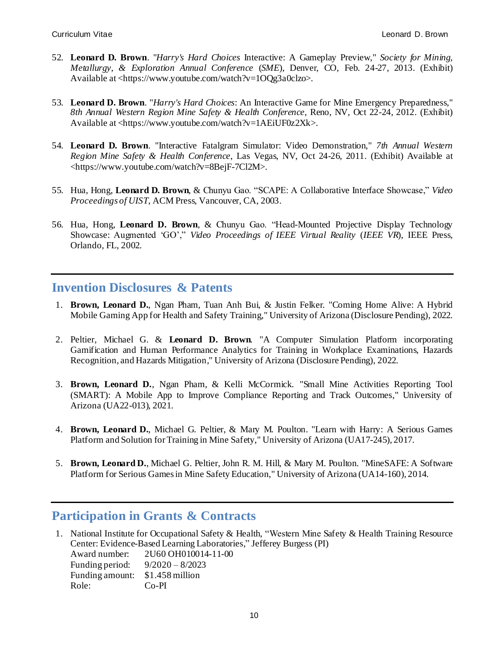- 52. **Leonard D. Brown**. "*Harry's Hard Choices* Interactive: A Gameplay Preview," *Society for Mining, Metallurgy, & Exploration Annual Conference* (*SME*), Denver, CO, Feb. 24-27, 2013. (Exhibit) Available at <https://www.youtube.com/watch?v=1OQg3a0clzo>.
- 53. **Leonard D. Brown**. "*Harry's Hard Choices*: An Interactive Game for Mine Emergency Preparedness," *8th Annual Western Region Mine Safety & Health Conference*, Reno, NV, Oct 22-24, 2012. (Exhibit) Available at <https://www.youtube.com/watch?v=1AEiUF0z2Xk>.
- 54. **Leonard D. Brown**. "Interactive Fatalgram Simulator: Video Demonstration," *7th Annual Western Region Mine Safety & Health Conference*, Las Vegas, NV, Oct 24-26, 2011. (Exhibit) Available at <https://www.youtube.com/watch?v=8BejF-7Cl2M>.
- 55. Hua, Hong, **Leonard D. Brown**, & Chunyu Gao. "SCAPE: A Collaborative Interface Showcase," *Video Proceedings of UIST*, ACM Press, Vancouver, CA, 2003.
- 56. Hua, Hong, **Leonard D. Brown**, & Chunyu Gao. "Head-Mounted Projective Display Technology Showcase: Augmented 'GO'," *Video Proceedings of IEEE Virtual Reality* (*IEEE VR*), IEEE Press, Orlando, FL, 2002.

## **Invention Disclosures & Patents**

- 1. **Brown, Leonard D.**, Ngan Pham, Tuan Anh Bui, & Justin Felker. "Coming Home Alive: A Hybrid Mobile Gaming App for Health and Safety Training," University of Arizona (Disclosure Pending), 2022.
- 2. Peltier, Michael G. & **Leonard D. Brown**. "A Computer Simulation Platform incorporating Gamification and Human Performance Analytics for Training in Workplace Examinations, Hazards Recognition, and Hazards Mitigation," University of Arizona (Disclosure Pending), 2022.
- 3. **Brown, Leonard D.**, Ngan Pham, & Kelli McCormick. "Small Mine Activities Reporting Tool (SMART): A Mobile App to Improve Compliance Reporting and Track Outcomes," University of Arizona (UA22-013), 2021.
- 4. **Brown, Leonard D.**, Michael G. Peltier, & Mary M. Poulton. "Learn with Harry: A Serious Games Platform and Solution for Training in Mine Safety," University of Arizona (UA17-245), 2017.
- 5. **Brown, Leonard D.**, Michael G. Peltier, John R. M. Hill, & Mary M. Poulton. "MineSAFE: A Software Platform for Serious Games in Mine Safety Education," University of Arizona (UA14-160), 2014.

## **Participation in Grants & Contracts**

1. National Institute for Occupational Safety & Health, "Western Mine Safety & Health Training Resource Center: Evidence-Based Learning Laboratories," Jefferey Burgess (PI)

| Award number:   | 2U60 OH010014-11-00 |
|-----------------|---------------------|
| Funding period: | $9/2020 - 8/2023$   |
| Funding amount: | \$1.458 million     |
| Role:           | Co-PI               |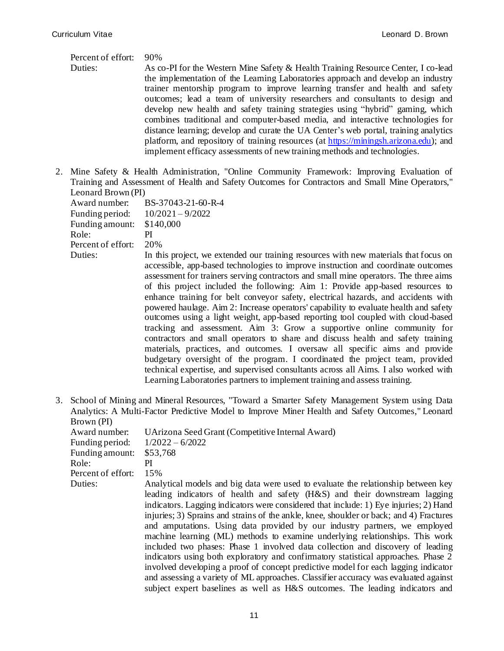#### Percent of effort: 90%

Duties: As co-PI for the Western Mine Safety & Health Training Resource Center, I co-lead the implementation of the Learning Laboratories approach and develop an industry trainer mentorship program to improve learning transfer and health and safety outcomes; lead a team of university researchers and consultants to design and develop new health and safety training strategies using "hybrid" gaming, which combines traditional and computer-based media, and interactive technologies for distance learning; develop and curate the UA Center's web portal, training analytics platform, and repository of training resources (at [https://miningsh.arizona.edu\)](https://miningsh.arizona.edu/); and implement efficacy assessments of new training methods and technologies.

2. Mine Safety & Health Administration, "Online Community Framework: Improving Evaluation of Training and Assessment of Health and Safety Outcomes for Contractors and Small Mine Operators," Leonard Brown (PI)

| Award number:      | BS-37043-21-60-R-4       |
|--------------------|--------------------------|
| Funding period:    | $10/2021 - 9/2022$       |
| Funding amount:    | \$140,000                |
| Role:              | PI                       |
| Percent of effort: | 20%                      |
| Duties:            | In this project, we exte |
|                    |                          |

- ended our training resources with new materials that focus on accessible, app-based technologies to improve instruction and coordinate outcomes assessment for trainers serving contractors and small mine operators. The three aims of this project included the following: Aim 1: Provide app-based resources to enhance training for belt conveyor safety, electrical hazards, and accidents with powered haulage. Aim 2: Increase operators' capability to evaluate health and safety outcomes using a light weight, app-based reporting tool coupled with cloud-based tracking and assessment. Aim 3: Grow a supportive online community for contractors and small operators to share and discuss health and safety training materials, practices, and outcomes. I oversaw all specific aims and provide budgetary oversight of the program. I coordinated the project team, provided technical expertise, and supervised consultants across all Aims. I also worked with Learning Laboratories partners to implement training and assess training.
- 3. School of Mining and Mineral Resources, "Toward a Smarter Safety Management System using Data Analytics: A Multi-Factor Predictive Model to Improve Miner Health and Safety Outcomes," Leonard Brown (PI)

| Award number:      | UArizona Seed Grant (Competitive Internal Award)                                        |
|--------------------|-----------------------------------------------------------------------------------------|
| Funding period:    | $1/2022 - 6/2022$                                                                       |
| Funding amount:    | \$53,768                                                                                |
| Role:              | РI                                                                                      |
| Percent of effort: | 15%                                                                                     |
| Duties:            | Analytical models and big data were used to evaluate the relationship between key       |
|                    | leading indicators of health and safety (H&S) and their downstream lagging              |
|                    | indicators. Lagging indicators were considered that include: 1) Eye injuries; 2) Hand   |
|                    | injuries; 3) Sprains and strains of the ankle, knee, shoulder or back; and 4) Fractures |
|                    | and amputations. Using data provided by our industry partners, we employed              |
|                    | machine learning (ML) methods to examine underlying relationships. This work            |
|                    | included two phases: Phase 1 involved data collection and discovery of leading          |
|                    | indicators using both exploratory and confirmatory statistical approaches. Phase 2      |
|                    | involved developing a proof of concept predictive model for each lagging indicator      |
|                    | and assessing a variety of ML approaches. Classifier accuracy was evaluated against     |
|                    | subject expert baselines as well as H&S outcomes. The leading indicators and            |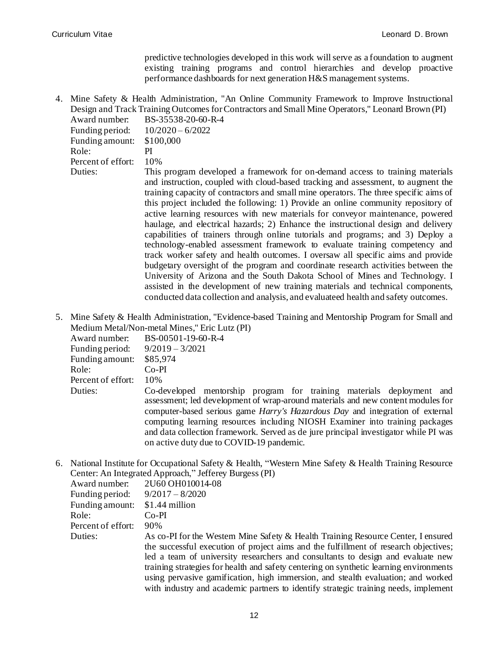predictive technologies developed in this work will serve as a foundation to augment existing training programs and control hierarchies and develop proactive performance dashboards for next generation H&S management systems.

4. Mine Safety & Health Administration, "An Online Community Framework to Improve Instructional Design and Track Training Outcomes forContractors and Small Mine Operators," Leonard Brown (PI)

| Award number:      | BS-35538-20-60-R-4                                                                                                                                                                                                                                                                                                                                                                                                                                                                                                                                                                                                                                                                                                                                                                                                                                                                                                                                                                                                                                                                                                         |
|--------------------|----------------------------------------------------------------------------------------------------------------------------------------------------------------------------------------------------------------------------------------------------------------------------------------------------------------------------------------------------------------------------------------------------------------------------------------------------------------------------------------------------------------------------------------------------------------------------------------------------------------------------------------------------------------------------------------------------------------------------------------------------------------------------------------------------------------------------------------------------------------------------------------------------------------------------------------------------------------------------------------------------------------------------------------------------------------------------------------------------------------------------|
| Funding period:    | $10/2020 - 6/2022$                                                                                                                                                                                                                                                                                                                                                                                                                                                                                                                                                                                                                                                                                                                                                                                                                                                                                                                                                                                                                                                                                                         |
| Funding amount:    | \$100,000                                                                                                                                                                                                                                                                                                                                                                                                                                                                                                                                                                                                                                                                                                                                                                                                                                                                                                                                                                                                                                                                                                                  |
| Role:              | PI                                                                                                                                                                                                                                                                                                                                                                                                                                                                                                                                                                                                                                                                                                                                                                                                                                                                                                                                                                                                                                                                                                                         |
| Percent of effort: | 10%                                                                                                                                                                                                                                                                                                                                                                                                                                                                                                                                                                                                                                                                                                                                                                                                                                                                                                                                                                                                                                                                                                                        |
| Duties:            | This program developed a framework for on-demand access to training materials<br>and instruction, coupled with cloud-based tracking and assessment, to augment the<br>training capacity of contractors and small mine operators. The three specific aims of<br>this project included the following: 1) Provide an online community repository of<br>active learning resources with new materials for conveyor maintenance, powered<br>haulage, and electrical hazards; 2) Enhance the instructional design and delivery<br>capabilities of trainers through online tutorials and programs; and 3) Deploy a<br>technology-enabled assessment framework to evaluate training competency and<br>track worker safety and health outcomes. I oversaw all specific aims and provide<br>budgetary oversight of the program and coordinate research activities between the<br>University of Arizona and the South Dakota School of Mines and Technology. I<br>assisted in the development of new training materials and technical components,<br>conducted data collection and analysis, and evaluated health and safety outcomes. |

5. Mine Safety & Health Administration, "Evidence-based Training and Mentorship Program for Small and Medium Metal/Non-metal Mines," Eric Lutz (PI)

| Award number:      | BS-00501-19-60-R-4                                                                                                                                                                                                                                                                                                                                                                                                                                                    |
|--------------------|-----------------------------------------------------------------------------------------------------------------------------------------------------------------------------------------------------------------------------------------------------------------------------------------------------------------------------------------------------------------------------------------------------------------------------------------------------------------------|
| Funding period:    | $9/2019 - 3/2021$                                                                                                                                                                                                                                                                                                                                                                                                                                                     |
| Funding amount:    | \$85,974                                                                                                                                                                                                                                                                                                                                                                                                                                                              |
| Role:              | $Co-PI$                                                                                                                                                                                                                                                                                                                                                                                                                                                               |
| Percent of effort: | 10%                                                                                                                                                                                                                                                                                                                                                                                                                                                                   |
| Duties:            | Co-developed mentorship program for training materials deployment and<br>assessment; led development of wrap-around materials and new content modules for<br>computer-based serious game <i>Harry's Hazardous Day</i> and integration of external<br>computing learning resources including NIOSH Examiner into training packages<br>and data collection framework. Served as de jure principal investigator while PI was<br>on active duty due to COVID-19 pandemic. |

6. National Institute for Occupational Safety & Health, "Western Mine Safety & Health Training Resource Center: An Integrated Approach," Jefferey Burgess (PI)

| Award number:      | 2U60 OH010014-08                                                                                                                                                                                                                                                                                                                                                                                                                                                                                                                  |
|--------------------|-----------------------------------------------------------------------------------------------------------------------------------------------------------------------------------------------------------------------------------------------------------------------------------------------------------------------------------------------------------------------------------------------------------------------------------------------------------------------------------------------------------------------------------|
| Funding period:    | $9/2017 - 8/2020$                                                                                                                                                                                                                                                                                                                                                                                                                                                                                                                 |
| Funding amount:    | \$1.44 million                                                                                                                                                                                                                                                                                                                                                                                                                                                                                                                    |
| Role:              | Co-PI                                                                                                                                                                                                                                                                                                                                                                                                                                                                                                                             |
| Percent of effort: | 90%                                                                                                                                                                                                                                                                                                                                                                                                                                                                                                                               |
| Duties:            | As co-PI for the Western Mine Safety & Health Training Resource Center, I ensured<br>the successful execution of project aims and the fulfillment of research objectives;<br>led a team of university researchers and consultants to design and evaluate new<br>training strategies for health and safety centering on synthetic learning environments<br>using pervasive gamification, high immersion, and stealth evaluation; and worked<br>with industry and academic partners to identify strategic training needs, implement |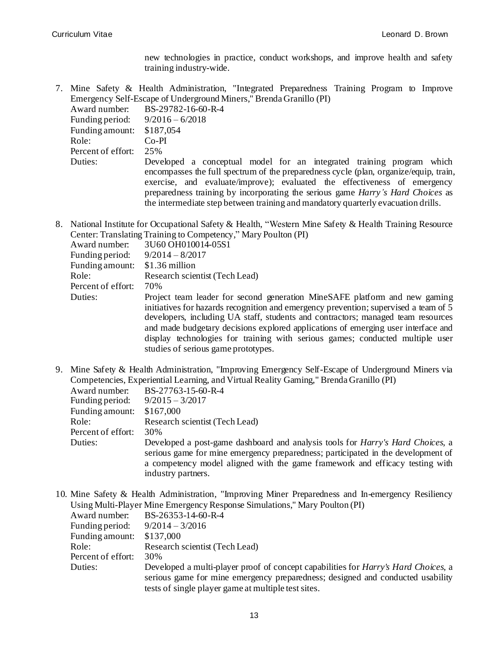new technologies in practice, conduct workshops, and improve health and safety training industry-wide.

7. Mine Safety & Health Administration, "Integrated Preparedness Training Program to Improve Emergency Self-Escape of Underground Miners," Brenda Granillo (PI)

| Award number:      | BS-29782-16-60-R-4                                                                                                                                                                                                                                                                                                                                                                                                         |
|--------------------|----------------------------------------------------------------------------------------------------------------------------------------------------------------------------------------------------------------------------------------------------------------------------------------------------------------------------------------------------------------------------------------------------------------------------|
| Funding period:    | $9/2016 - 6/2018$                                                                                                                                                                                                                                                                                                                                                                                                          |
| Funding amount:    | \$187,054                                                                                                                                                                                                                                                                                                                                                                                                                  |
| Role:              | $Co-PI$                                                                                                                                                                                                                                                                                                                                                                                                                    |
| Percent of effort: | 25%                                                                                                                                                                                                                                                                                                                                                                                                                        |
| Duties:            | Developed a conceptual model for an integrated training program which<br>encompasses the full spectrum of the preparedness cycle (plan, organize/equip, train,<br>exercise, and evaluate/improve); evaluated the effectiveness of emergency<br>preparedness training by incorporating the serious game <i>Harry's Hard Choices</i> as<br>the intermediate step between training and mandatory quarterly evacuation drills. |

8. National Institute for Occupational Safety & Health, "Western Mine Safety & Health Training Resource Center: Translating Training to Competency," Mary Poulton (PI)

| Award number:      | 3U60 OH010014-05S1                                                                                                                                                                                                                                                                                                                                                                                                                                                  |
|--------------------|---------------------------------------------------------------------------------------------------------------------------------------------------------------------------------------------------------------------------------------------------------------------------------------------------------------------------------------------------------------------------------------------------------------------------------------------------------------------|
| Funding period:    | $9/2014 - 8/2017$                                                                                                                                                                                                                                                                                                                                                                                                                                                   |
| Funding amount:    | \$1.36 million                                                                                                                                                                                                                                                                                                                                                                                                                                                      |
| Role:              | Research scientist (Tech Lead)                                                                                                                                                                                                                                                                                                                                                                                                                                      |
| Percent of effort: | 70%                                                                                                                                                                                                                                                                                                                                                                                                                                                                 |
| Duties:            | Project team leader for second generation MineSAFE platform and new gaming<br>initiatives for hazards recognition and emergency prevention; supervised a team of 5<br>developers, including UA staff, students and contractors; managed team resources<br>and made budgetary decisions explored applications of emerging user interface and<br>display technologies for training with serious games; conducted multiple user<br>studies of serious game prototypes. |

9. Mine Safety & Health Administration, "Improving Emergency Self-Escape of Underground Miners via Competencies, Experiential Learning, and Virtual Reality Gaming," Brenda Granillo (PI)

| Award number:      | BS-27763-15-60-R-4                                                                                                                                                                                                                                                               |
|--------------------|----------------------------------------------------------------------------------------------------------------------------------------------------------------------------------------------------------------------------------------------------------------------------------|
| Funding period:    | $9/2015 - 3/2017$                                                                                                                                                                                                                                                                |
| Funding amount:    | \$167,000                                                                                                                                                                                                                                                                        |
| Role:              | Research scientist (Tech Lead)                                                                                                                                                                                                                                                   |
| Percent of effort: | 30%                                                                                                                                                                                                                                                                              |
| Duties:            | Developed a post-game dashboard and analysis tools for <i>Harry's Hard Choices</i> , a<br>serious game for mine emergency preparedness; participated in the development of<br>a competency model aligned with the game framework and efficacy testing with<br>industry partners. |

10. Mine Safety & Health Administration, "Improving Miner Preparedness and In-emergency Resiliency Using Multi-Player Mine Emergency Response Simulations," Mary Poulton (PI)

| Award number:      | BS-26353-14-60-R-4                                                                         |
|--------------------|--------------------------------------------------------------------------------------------|
| Funding period:    | $9/2014 - 3/2016$                                                                          |
| Funding amount:    | \$137,000                                                                                  |
| Role:              | Research scientist (Tech Lead)                                                             |
| Percent of effort: | 30%                                                                                        |
| Duties:            | Developed a multi-player proof of concept capabilities for <i>Harry's Hard Choices</i> , a |
|                    | serious game for mine emergency preparedness; designed and conducted usability             |
|                    | tests of single player game at multiple test sites.                                        |
|                    |                                                                                            |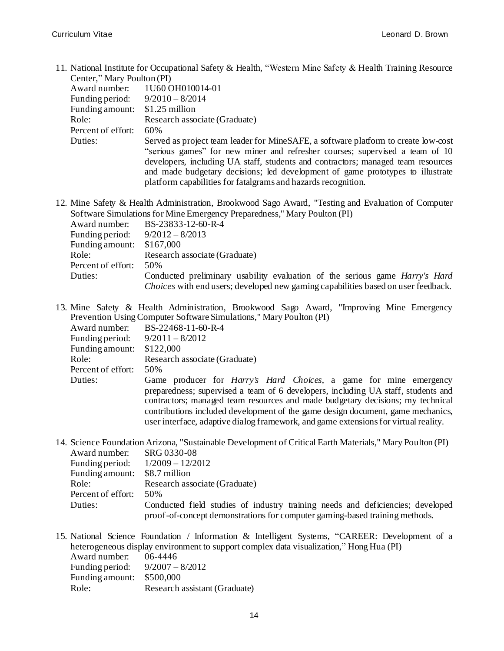11. National Institute for Occupational Safety & Health, "Western Mine Safety & Health Training Resource Center," Mary Poulton (PI)

| $= 1.144$          |                                                                                                                                                                                                                                                        |
|--------------------|--------------------------------------------------------------------------------------------------------------------------------------------------------------------------------------------------------------------------------------------------------|
| Award number:      | 1U60 OH010014-01                                                                                                                                                                                                                                       |
| Funding period:    | $9/2010 - 8/2014$                                                                                                                                                                                                                                      |
| Funding amount:    | $$1.25$ million                                                                                                                                                                                                                                        |
| Role:              | Research associate (Graduate)                                                                                                                                                                                                                          |
| Percent of effort: | 60%                                                                                                                                                                                                                                                    |
| Duties:            | Served as project team leader for MineSAFE, a software platform to create low-cost<br>"serious games" for new miner and refresher courses; supervised a team of 10<br>developers, including UA staff, students and contractors; managed team resources |
|                    | and made budgetary decisions; led development of game prototypes to illustrate<br>platform capabilities for fatalgrams and hazards recognition.                                                                                                        |

12. Mine Safety & Health Administration, Brookwood Sago Award, "Testing and Evaluation of Computer Software Simulations for Mine Emergency Preparedness," Mary Poulton (PI)

| Award number:              | BS-23833-12-60-R-4                                                                 |
|----------------------------|------------------------------------------------------------------------------------|
| Funding period:            | $9/2012 - 8/2013$                                                                  |
| Funding amount: $$167,000$ |                                                                                    |
| Role:                      | Research associate (Graduate)                                                      |
| Percent of effort:         | 50%                                                                                |
| Duties:                    | Conducted preliminary usability evaluation of the serious game <i>Harry's Hard</i> |
|                            | Choices with end users; developed new gaming capabilities based on user feedback.  |

13. Mine Safety & Health Administration, Brookwood Sago Award, "Improving Mine Emergency Prevention Using Computer Software Simulations," Mary Poulton (PI)

| Award number:      | BS-22468-11-60-R-4                                                                  |
|--------------------|-------------------------------------------------------------------------------------|
| Funding period:    | $9/2011 - 8/2012$                                                                   |
| Funding amount:    | \$122,000                                                                           |
| Role:              | Research associate (Graduate)                                                       |
| Percent of effort: | 50%                                                                                 |
| Duties:            | Game producer for <i>Harry's Hard Choices</i> , a game for mine emergency           |
|                    | preparedness; supervised a team of 6 developers, including UA staff, students and   |
|                    | contractors; managed team resources and made budgetary decisions; my technical      |
|                    | contributions included development of the game design document, game mechanics,     |
|                    | user interface, adaptive dialog framework, and game extensions for virtual reality. |

- 14. Science Foundation Arizona, "Sustainable Development of Critical Earth Materials," Mary Poulton (PI) Award number: SRG 0330-08 Funding period: 1/2009 – 12/2012 Funding amount: \$8.7 million Role: Research associate (Graduate) Percent of effort: 50% Duties: Conducted field studies of industry training needs and deficiencies; developed proof-of-concept demonstrations for computer gaming-based training methods.
- 15. National Science Foundation / Information & Intelligent Systems, "CAREER: Development of a heterogeneous display environment to support complex data visualization," Hong Hua (PI)

| Award number:   | 06-4446                       |
|-----------------|-------------------------------|
| Funding period: | $9/2007 - 8/2012$             |
| Funding amount: | \$500,000                     |
| Role:           | Research assistant (Graduate) |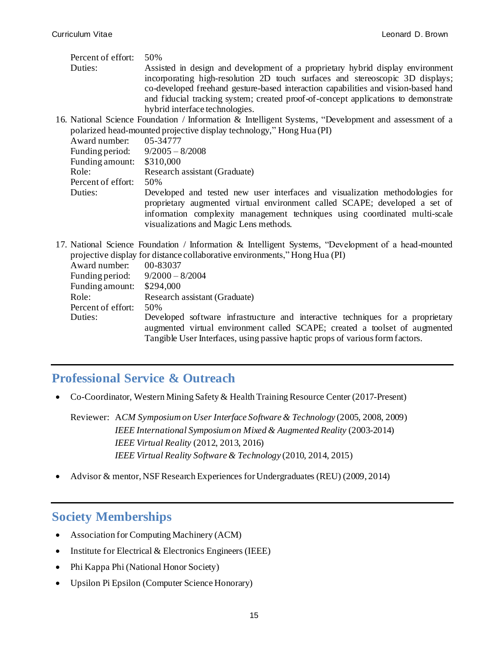- Percent of effort: 50% Duties: Assisted in design and development of a proprietary hybrid display environment incorporating high-resolution 2D touch surfaces and stereoscopic 3D displays; co-developed freehand gesture-based interaction capabilities and vision-based hand and fiducial tracking system; created proof-of-concept applications to demonstrate hybrid interface technologies.
- 16. National Science Foundation / Information & Intelligent Systems, "Development and assessment of a polarized head-mounted projective display technology," Hong Hua (PI)

| Award number: 05-34777            |                                                                                                                                                                                                                                                                                    |
|-----------------------------------|------------------------------------------------------------------------------------------------------------------------------------------------------------------------------------------------------------------------------------------------------------------------------------|
| Funding period: $9/2005 - 8/2008$ |                                                                                                                                                                                                                                                                                    |
| Funding amount: \$310,000         |                                                                                                                                                                                                                                                                                    |
| Role:                             | Research assistant (Graduate)                                                                                                                                                                                                                                                      |
| Percent of effort:                | .50%                                                                                                                                                                                                                                                                               |
| Duties:                           | Developed and tested new user interfaces and visualization methodologies for<br>proprietary augmented virtual environment called SCAPE; developed a set of<br>information complexity management techniques using coordinated multi-scale<br>visualizations and Magic Lens methods. |

17. National Science Foundation / Information & Intelligent Systems, "Development of a head-mounted projective display for distance collaborative environments," Hong Hua (PI)

| Award number:      | 00-83037                                                                       |
|--------------------|--------------------------------------------------------------------------------|
| Funding period:    | $9/2000 - 8/2004$                                                              |
| Funding amount:    | \$294,000                                                                      |
| Role:              | Research assistant (Graduate)                                                  |
| Percent of effort: | 50%                                                                            |
| Duties:            | Developed software infrastructure and interactive techniques for a proprietary |
|                    | augmented virtual environment called SCAPE; created a toolset of augmented     |
|                    | Tangible User Interfaces, using passive haptic props of various form factors.  |
|                    |                                                                                |

## **Professional Service & Outreach**

• Co-Coordinator, Western Mining Safety & Health Training Resource Center (2017-Present)

Reviewer: A*CM Symposium on User Interface Software & Technology* (2005, 2008, 2009) *IEEE International Symposium on Mixed & Augmented Reality* (2003-2014) *IEEE Virtual Reality* (2012, 2013, 2016) *IEEE Virtual Reality Software & Technology* (2010, 2014, 2015)

• Advisor & mentor, NSF Research Experiences for Undergraduates (REU) (2009, 2014)

## **Society Memberships**

- Association for Computing Machinery (ACM)
- Institute for Electrical & Electronics Engineers (IEEE)
- Phi Kappa Phi (National Honor Society)
- Upsilon Pi Epsilon (Computer Science Honorary)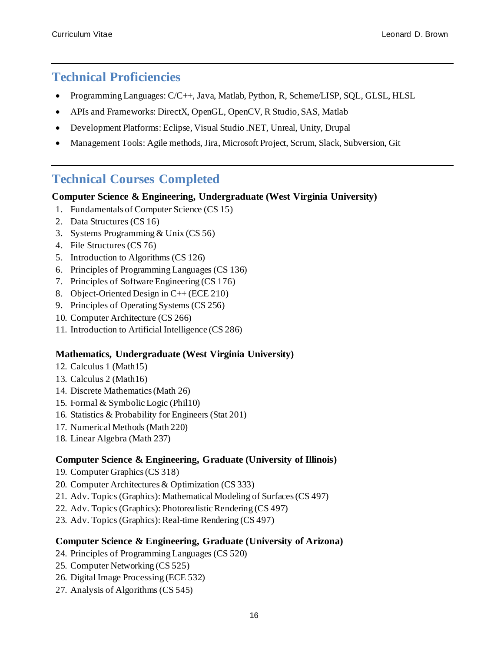## **Technical Proficiencies**

- Programming Languages:  $C/C++$ , Java, Matlab, Python, R, Scheme/LISP, SQL, GLSL, HLSL
- APIs and Frameworks: DirectX, OpenGL, OpenCV, R Studio, SAS, Matlab
- Development Platforms: Eclipse, Visual Studio .NET, Unreal, Unity, Drupal
- Management Tools: Agile methods, Jira, Microsoft Project, Scrum, Slack, Subversion, Git

# **Technical Courses Completed**

### **Computer Science & Engineering, Undergraduate (West Virginia University)**

- 1. Fundamentals of Computer Science (CS 15)
- 2. Data Structures (CS 16)
- 3. Systems Programming & Unix (CS 56)
- 4. File Structures (CS 76)
- 5. Introduction to Algorithms (CS 126)
- 6. Principles of Programming Languages (CS 136)
- 7. Principles of Software Engineering (CS 176)
- 8. Object-Oriented Design in C++ (ECE 210)
- 9. Principles of Operating Systems (CS 256)
- 10. Computer Architecture (CS 266)
- 11. Introduction to Artificial Intelligence (CS 286)

### **Mathematics, Undergraduate (West Virginia University)**

- 12. Calculus 1 (Math15)
- 13. Calculus 2 (Math16)
- 14. Discrete Mathematics (Math 26)
- 15. Formal & Symbolic Logic (Phil10)
- 16. Statistics & Probability for Engineers (Stat 201)
- 17. Numerical Methods (Math 220)
- 18. Linear Algebra (Math 237)

### **Computer Science & Engineering, Graduate (University of Illinois)**

- 19. Computer Graphics (CS 318)
- 20. Computer Architectures & Optimization (CS 333)
- 21. Adv. Topics (Graphics): Mathematical Modeling of Surfaces (CS 497)
- 22. Adv. Topics (Graphics): Photorealistic Rendering (CS 497)
- 23. Adv. Topics (Graphics): Real-time Rendering (CS 497)

### **Computer Science & Engineering, Graduate (University of Arizona)**

- 24. Principles of Programming Languages (CS 520)
- 25. Computer Networking (CS 525)
- 26. Digital Image Processing (ECE 532)
- 27. Analysis of Algorithms (CS 545)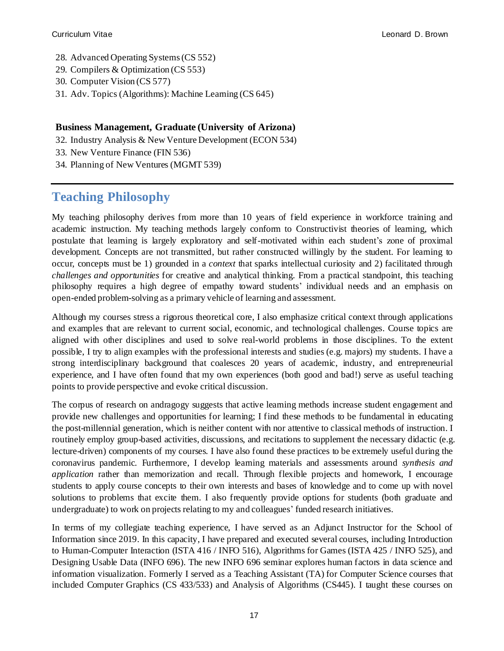- 28. Advanced Operating Systems (CS 552)
- 29. Compilers & Optimization (CS 553)
- 30. Computer Vision (CS 577)
- 31. Adv. Topics (Algorithms): Machine Learning (CS 645)

### **Business Management, Graduate (University of Arizona)**

- 32. Industry Analysis & New Venture Development (ECON 534)
- 33. New Venture Finance (FIN 536)
- 34. Planning of New Ventures (MGMT 539)

# **Teaching Philosophy**

My teaching philosophy derives from more than 10 years of field experience in workforce training and academic instruction. My teaching methods largely conform to Constructivist theories of learning, which postulate that learning is largely exploratory and self-motivated within each student's zone of proximal development. Concepts are not transmitted, but rather constructed willingly by the student. For learning to occur, concepts must be 1) grounded in a *context* that sparks intellectual curiosity and 2) facilitated through *challenges and opportunities* for creative and analytical thinking. From a practical standpoint, this teaching philosophy requires a high degree of empathy toward students' individual needs and an emphasis on open-ended problem-solving as a primary vehicle of learning and assessment.

Although my courses stress a rigorous theoretical core, I also emphasize critical context through applications and examples that are relevant to current social, economic, and technological challenges. Course topics are aligned with other disciplines and used to solve real-world problems in those disciplines. To the extent possible, I try to align examples with the professional interests and studies (e.g. majors) my students. I have a strong interdisciplinary background that coalesces 20 years of academic, industry, and entrepreneurial experience, and I have often found that my own experiences (both good and bad!) serve as useful teaching points to provide perspective and evoke critical discussion.

The corpus of research on andragogy suggests that active learning methods increase student engagement and provide new challenges and opportunities for learning; I find these methods to be fundamental in educating the post-millennial generation, which is neither content with nor attentive to classical methods of instruction. I routinely employ group-based activities, discussions, and recitations to supplement the necessary didactic (e.g. lecture-driven) components of my courses. I have also found these practices to be extremely useful during the coronavirus pandemic. Furthermore, I develop learning materials and assessments around *synthesis and application* rather than memorization and recall. Through flexible projects and homework, I encourage students to apply course concepts to their own interests and bases of knowledge and to come up with novel solutions to problems that excite them. I also frequently provide options for students (both graduate and undergraduate) to work on projects relating to my and colleagues' funded research initiatives.

In terms of my collegiate teaching experience, I have served as an Adjunct Instructor for the School of Information since 2019. In this capacity, I have prepared and executed several courses, including Introduction to Human-Computer Interaction (ISTA 416 / INFO 516), Algorithms for Games (ISTA 425 / INFO 525), and Designing Usable Data (INFO 696). The new INFO 696 seminar explores human factors in data science and information visualization. Formerly I served as a Teaching Assistant (TA) for Computer Science courses that included Computer Graphics (CS 433/533) and Analysis of Algorithms (CS445). I taught these courses on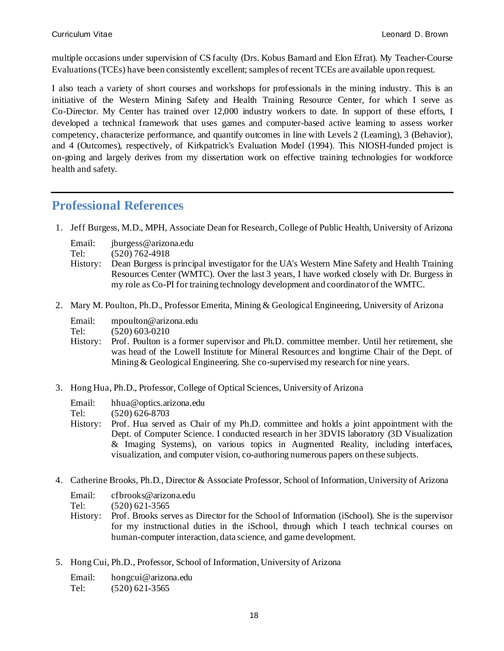multiple occasions under supervision of CS faculty (Drs. Kobus Barnard and Elon Efrat). My Teacher-Course Evaluations (TCEs) have been consistently excellent; samples of recent TCEs are available upon request.

I also teach a variety of short courses and workshops for professionals in the mining industry. This is an initiative of the Western Mining Safety and Health Training Resource Center, for which I serve as Co-Director. My Center has trained over 12,000 industry workers to date. In support of these efforts, I developed a technical framework that uses games and computer-based active learning to assess worker competency, characterize performance, and quantify outcomes in line with Levels 2 (Learning), 3 (Behavior), and 4 (Outcomes), respectively, of Kirkpatrick's Evaluation Model (1994). This NIOSH-funded project is on-going and largely derives from my dissertation work on effective training technologies for workforce health and safety.

## **Professional References**

1. Jeff Burgess, M.D., MPH, Associate Dean for Research, College of Public Health, University of Arizona

| Email: | jburgess@arizona.edu |
|--------|----------------------|
|        |                      |

Tel: (520) 762-4918

- History: Dean Burgess is principal investigator for the UA's Western Mine Safety and Health Training Resources Center (WMTC). Over the last 3 years, I have worked closely with Dr. Burgess in my role as Co-PI for training technology development and coordinator of the WMTC.
- 2. Mary M. Poulton, Ph.D., Professor Emerita, Mining & Geological Engineering, University of Arizona

| Email: | mpoulton@arizona.edu |
|--------|----------------------|
| Tel:   | $(520)$ 603-0210     |

- History: Prof. Poulton is a former supervisor and Ph.D. committee member. Until her retirement, she was head of the Lowell Institute for Mineral Resources and longtime Chair of the Dept. of Mining & Geological Engineering. She co-supervised my research for nine years.
- 3. Hong Hua, Ph.D., Professor, College of Optical Sciences, University of Arizona

| hhua@optics.arizona.edu |
|-------------------------|
|                         |

Tel: (520) 626-8703

- History: Prof. Hua served as Chair of my Ph.D. committee and holds a joint appointment with the Dept. of Computer Science. I conducted research in her 3DVIS laboratory (3D Visualization & Imaging Systems), on various topics in Augmented Reality, including interfaces, visualization, and computer vision, co-authoring numerous papers on these subjects.
- 4. Catherine Brooks, Ph.D., Director & Associate Professor, School of Information, University of Arizona
	- Email: cfbrooks@arizona.edu

Tel: (520) 621-3565

- History: Prof. Brooks serves as Director for the School of Information (iSchool). She is the supervisor for my instructional duties in the iSchool, through which I teach technical courses on human-computer interaction, data science, and game development.
- 5. Hong Cui, Ph.D., Professor, School of Information, University of Arizona

| Email: | hongcui@arizona.edu |
|--------|---------------------|
| Tel:   | $(520)$ 621-3565    |